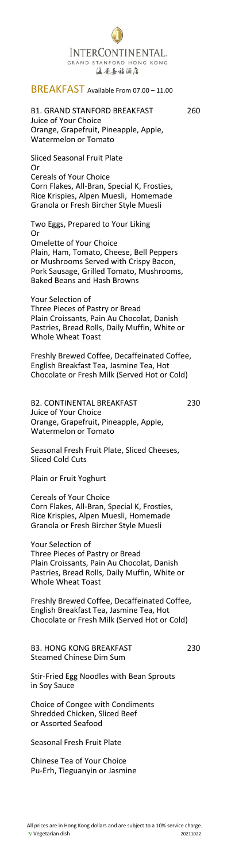# INTERCONTINENTAL. GRAND STANFORD HONG KONG 海景嘉福酒店

## BREAKFAST Available From 07.00 – 11.00

## B1. GRAND STANFORD BREAKFAST 260 Juice of Your Choice Orange, Grapefruit, Pineapple, Apple, Watermelon or Tomato

Sliced Seasonal Fruit Plate Or Cereals of Your Choice Corn Flakes, All-Bran, Special K, Frosties, Rice Krispies, Alpen Muesli, Homemade Granola or Fresh Bircher Style Muesli

B2. CONTINENTAL BREAKFAST 230 Juice of Your Choice Orange, Grapefruit, Pineapple, Apple, Watermelon or Tomato

Two Eggs, Prepared to Your Liking Or Omelette of Your Choice Plain, Ham, Tomato, Cheese, Bell Peppers or Mushrooms Served with Crispy Bacon, Pork Sausage, Grilled Tomato, Mushrooms, Baked Beans and Hash Browns

Your Selection of Three Pieces of Pastry or Bread Plain Croissants, Pain Au Chocolat, Danish Pastries, Bread Rolls, Daily Muffin, White or Whole Wheat Toast

Freshly Brewed Coffee, Decaffeinated Coffee, English Breakfast Tea, Jasmine Tea, Hot Chocolate or Fresh Milk (Served Hot or Cold)

Seasonal Fresh Fruit Plate, Sliced Cheeses, Sliced Cold Cuts

Plain or Fruit Yoghurt

Cereals of Your Choice Corn Flakes, All-Bran, Special K, Frosties, Rice Krispies, Alpen Muesli, Homemade Granola or Fresh Bircher Style Muesli

Your Selection of Three Pieces of Pastry or Bread Plain Croissants, Pain Au Chocolat, Danish Pastries, Bread Rolls, Daily Muffin, White or Whole Wheat Toast

Freshly Brewed Coffee, Decaffeinated Coffee, English Breakfast Tea, Jasmine Tea, Hot Chocolate or Fresh Milk (Served Hot or Cold)

B3. HONG KONG BREAKFAST 230

Steamed Chinese Dim Sum

Stir-Fried Egg Noodles with Bean Sprouts in Soy Sauce

Choice of Congee with Condiments Shredded Chicken, Sliced Beef or Assorted Seafood

Seasonal Fresh Fruit Plate

Chinese Tea of Your Choice Pu-Erh, Tieguanyin or Jasmine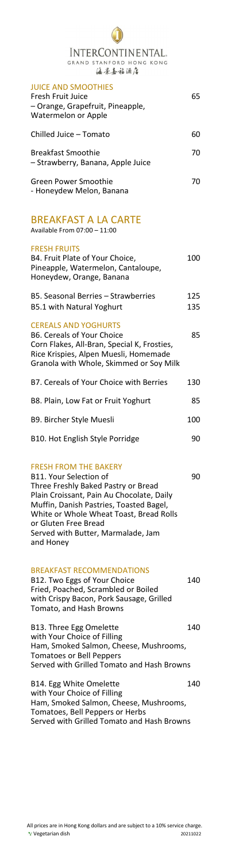# INTERCONTINENTAL. GRAND STANFORD HONG KONG 海景嘉福酒店

| <b>JUICE AND SMOOTHIES</b><br>Fresh Fruit Juice<br>- Orange, Grapefruit, Pineapple,<br>Watermelon or Apple                                                                                          | 65         |
|-----------------------------------------------------------------------------------------------------------------------------------------------------------------------------------------------------|------------|
| Chilled Juice - Tomato                                                                                                                                                                              | 60         |
| <b>Breakfast Smoothie</b><br>- Strawberry, Banana, Apple Juice                                                                                                                                      | 70         |
| <b>Green Power Smoothie</b><br>- Honeydew Melon, Banana                                                                                                                                             | 70         |
| <b>BREAKFAST A LA CARTE</b><br>Available From 07:00 - 11:00                                                                                                                                         |            |
| <b>FRESH FRUITS</b><br>B4. Fruit Plate of Your Choice,<br>Pineapple, Watermelon, Cantaloupe,<br>Honeydew, Orange, Banana                                                                            | 100        |
| B5. Seasonal Berries - Strawberries<br><b>B5.1 with Natural Yoghurt</b>                                                                                                                             | 125<br>135 |
| <b>CEREALS AND YOGHURTS</b><br><b>B6. Cereals of Your Choice</b><br>Corn Flakes, All-Bran, Special K, Frosties,<br>Rice Krispies, Alpen Muesli, Homemade<br>Granola with Whole, Skimmed or Soy Milk | 85         |
| B7. Cereals of Your Choice with Berries                                                                                                                                                             | 130        |
| B8. Plain, Low Fat or Fruit Yoghurt                                                                                                                                                                 | 85         |
| B9. Bircher Style Muesli                                                                                                                                                                            | 100        |
| B10. Hot English Style Porridge                                                                                                                                                                     | 90         |
|                                                                                                                                                                                                     |            |

B11. Your Selection of 90 Three Freshly Baked Pastry or Bread Plain Croissant, Pain Au Chocolate, Daily Muffin, Danish Pastries, Toasted Bagel, White or Whole Wheat Toast, Bread Rolls or Gluten Free Bread Served with Butter, Marmalade, Jam and Honey

B12. Two Eggs of Your Choice 140 Fried, Poached, Scrambled or Boiled with Crispy Bacon, Pork Sausage, Grilled Tomato, and Hash Browns

B13. Three Egg Omelette 140 with Your Choice of Filling Ham, Smoked Salmon, Cheese, Mushrooms,

B14. Egg White Omelette 140 with Your Choice of Filling Ham, Smoked Salmon, Cheese, Mushrooms, Tomatoes, Bell Peppers or Herbs Served with Grilled Tomato and Hash Browns

## FRESH FROM THE BAKERY

## BREAKFAST RECOMMENDATIONS

Tomatoes or Bell Peppers Served with Grilled Tomato and Hash Browns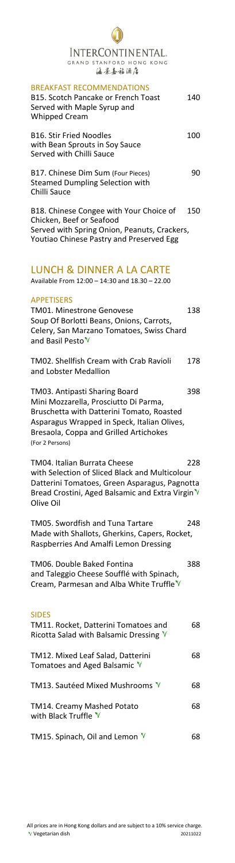## INTERCONTINENTAL. GRAND STANFORD HONG KONG 海景嘉福酒店

#### BREAKFAST RECOMMENDATIONS

| B15. Scotch Pancake or French Toast<br>Served with Maple Syrup and<br><b>Whipped Cream</b>                                                                      | 140 |
|-----------------------------------------------------------------------------------------------------------------------------------------------------------------|-----|
| <b>B16. Stir Fried Noodles</b><br>with Bean Sprouts in Soy Sauce<br>Served with Chilli Sauce                                                                    | 100 |
| B17. Chinese Dim Sum (Four Pieces)<br><b>Steamed Dumpling Selection with</b><br>Chilli Sauce                                                                    | 90  |
| B18. Chinese Congee with Your Choice of<br>Chicken, Beef or Seafood<br>Served with Spring Onion, Peanuts, Crackers,<br>Youtiao Chinese Pastry and Preserved Egg | 150 |

## LUNCH & DINNER A LA CARTE

Available From 12:00 – 14:30 and 18.30 – 22.00

### APPETISERS

TM01. Minestrone Genovese 138 Soup Of Borlotti Beans, Onions, Carrots, Celery, San Marzano Tomatoes, Swiss Chard and Basil Pesto<sup>V</sup>

TM06. Double Baked Fontina 388 and Taleggio Cheese Soufflé with Spinach, Cream, Parmesan and Alba White Truffle  $V$ 

## TM11. Rocket, Datterini Tomatoes and 68 Ricotta Salad with Balsamic Dressing  $\sqrt[N]{ }$

TM02. Shellfish Cream with Crab Ravioli 178 and Lobster Medallion

TM03. Antipasti Sharing Board 398 Mini Mozzarella, Prosciutto Di Parma, Bruschetta with Datterini Tomato, Roasted Asparagus Wrapped in Speck, Italian Olives, Bresaola, Coppa and Grilled Artichokes (For 2 Persons)

TM04. Italian Burrata Cheese 228 with Selection of Sliced Black and Multicolour Datterini Tomatoes, Green Asparagus, Pagnotta Bread Crostini, Aged Balsamic and Extra Virgin V Olive Oil

TM05. Swordfish and Tuna Tartare 248 Made with Shallots, Gherkins, Capers, Rocket, Raspberries And Amalfi Lemon Dressing

#### SIDES

| TM12. Mixed Leaf Salad, Datterini<br>Tomatoes and Aged Balsamic V | 68 |
|-------------------------------------------------------------------|----|
| TM13. Sautéed Mixed Mushrooms V                                   | 68 |
| TM14. Creamy Mashed Potato<br>with Black Truffle V                | 68 |
| TM15. Spinach, Oil and Lemon $\mathbb{V}$                         |    |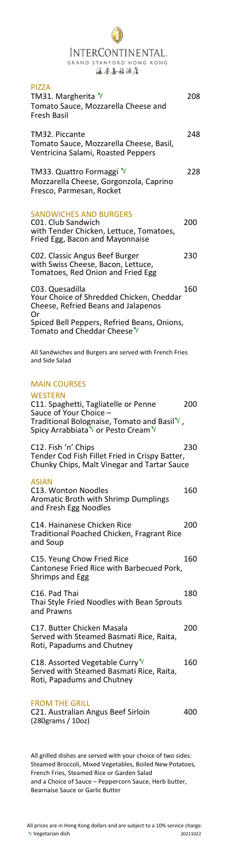## INTERCONTINENTAL. GRAND STANFORD HONG KONG 海景嘉福酒店

| <b>PIZZA</b><br>TM31. Margherita $V$<br>Tomato Sauce, Mozzarella Cheese and<br>Fresh Basil                                                                                          | 208 |
|-------------------------------------------------------------------------------------------------------------------------------------------------------------------------------------|-----|
| TM32. Piccante<br>Tomato Sauce, Mozzarella Cheese, Basil,<br>Ventricina Salami, Roasted Peppers                                                                                     | 248 |
| TM33. Quattro Formaggi V<br>Mozzarella Cheese, Gorgonzola, Caprino<br>Fresco, Parmesan, Rocket                                                                                      | 228 |
| <b>SANDWICHES AND BURGERS</b><br>C01. Club Sandwich<br>with Tender Chicken, Lettuce, Tomatoes,<br>Fried Egg, Bacon and Mayonnaise                                                   | 200 |
| C02. Classic Angus Beef Burger<br>with Swiss Cheese, Bacon, Lettuce,<br>Tomatoes, Red Onion and Fried Egg                                                                           | 230 |
| C03. Quesadilla<br>Your Choice of Shredded Chicken, Cheddar<br>Cheese, Refried Beans and Jalapenos<br>Or                                                                            | 160 |
| Spiced Bell Peppers, Refried Beans, Onions,<br>Tomato and Cheddar Cheese <sup>V</sup>                                                                                               |     |
| All Sandwiches and Burgers are served with French Fries<br>and Side Salad                                                                                                           |     |
| <b>MAIN COURSES</b>                                                                                                                                                                 |     |
| <b>WESTERN</b><br>C11. Spaghetti, Tagliatelle or Penne<br>Sauce of Your Choice -<br>Traditional Bolognaise, Tomato and Basil $\mathbb {V}$ ,<br>Spicy Arrabbiata V or Pesto Cream V | 200 |
| C12. Fish 'n' Chips<br>Tender Cod Fish Fillet Fried in Crispy Batter,<br>Chunky Chips, Malt Vinegar and Tartar Sauce                                                                | 230 |
| <b>ASIAN</b><br>C13. Wonton Noodles<br><b>Aromatic Broth with Shrimp Dumplings</b><br>and Fresh Egg Noodles                                                                         | 160 |
| C14. Hainanese Chicken Rice<br>Traditional Poached Chicken, Fragrant Rice<br>and Soup                                                                                               | 200 |
| C15. Yeung Chow Fried Rice<br>Cantonese Fried Rice with Barbecued Pork,<br><b>Shrimps and Egg</b>                                                                                   | 160 |
| C16. Pad Thai<br>Thai Style Fried Noodles with Bean Sprouts<br>and Prawns                                                                                                           | 180 |
| C17. Butter Chicken Masala<br>Served with Steamed Basmati Rice, Raita,<br>Roti, Papadums and Chutney                                                                                | 200 |

C18. Assorted Vegetable Curry  $V$  160 Served with Steamed Basmati Rice, Raita, Roti, Papadums and Chutney

C21. Australian Angus Beef Sirloin 400 (280grams / 10oz)

#### FROM THE GRILL

All grilled dishes are served with your choice of two sides: Steamed Broccoli, Mixed Vegetables, Boiled New Potatoes, French Fries, Steamed Rice or Garden Salad and a Choice of Sauce – Peppercorn Sauce, Herb butter, Bearnaise Sauce or Garlic Butter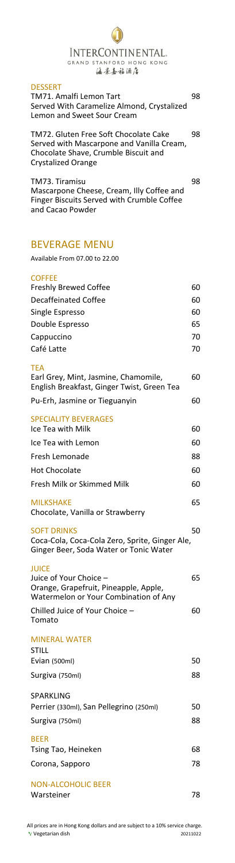## InterContinental. GRAND STANFORD HONG KONG 海景嘉福酒店

### **DESSERT**

All prices are in Hong Kong dollars and are subject to a 10% service charge. Vegetarian dish 20211022

| TM71. Amalfi Lemon Tart                    | 98 |
|--------------------------------------------|----|
| Served With Caramelize Almond, Crystalized |    |
| Lemon and Sweet Sour Cream                 |    |

TM72. Gluten Free Soft Chocolate Cake 98 Served with Mascarpone and Vanilla Cream, Chocolate Shave, Crumble Biscuit and Crystalized Orange

TM73. Tiramisu 98 Mascarpone Cheese, Cream, Illy Coffee and Finger Biscuits Served with Crumble Coffee and Cacao Powder

## BEVERAGE MENU

Available From 07.00 to 22.00

# **COFFEE** Freshly Brewed Coffee 60 Decaffeinated Coffee 60 Single Espresso 60 Double Espresso 65 Cappuccino 70 Café Latte 70 **TFA** Earl Grey, Mint, Jasmine, Chamomile, 60 English Breakfast, Ginger Twist, Green Tea Pu-Erh, Jasmine or Tieguanyin 60 SPECIALITY BEVERAGES Ice Tea with Milk 60 Ice Tea with Lemon 60 Fresh Lemonade 88 Hot Chocolate 60 Fresh Milk or Skimmed Milk 60 MILKSHAKE 65 Chocolate, Vanilla or Strawberry SOFT DRINKS 50 Coca-Cola, Coca-Cola Zero, Sprite, Ginger Ale, Ginger Beer, Soda Water or Tonic Water **JUICE** Juice of Your Choice – 65 Orange, Grapefruit, Pineapple, Apple, Watermelon or Your Combination of Any Chilled Juice of Your Choice – 60

Tomato

MINERAL WATER STILL

| ----                                    |    |
|-----------------------------------------|----|
| Evian (500ml)                           | 50 |
| Surgiva (750ml)                         | 88 |
| SPARKLING                               |    |
| Perrier (330ml), San Pellegrino (250ml) | 50 |
| Surgiva (750ml)                         | 88 |
| <b>BEER</b>                             |    |
| Tsing Tao, Heineken                     | 68 |
| Corona, Sapporo                         | 78 |
| NON-ALCOHOLIC BEER                      |    |
| Warsteiner                              | 78 |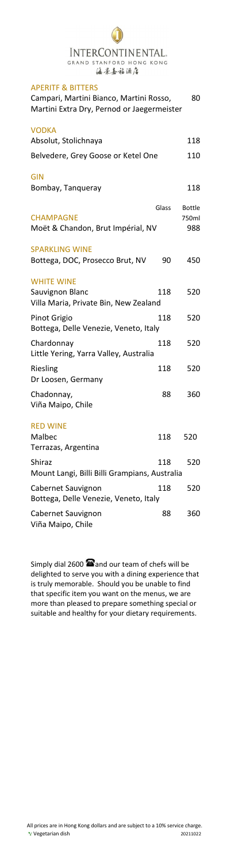# INTERCONTINENTAL. GRAND STANFORD HONG KONG 海景嘉福酒店

## APERITF & BITTERS

| AFLNII QUIILNJ                                                                        |       |               |
|---------------------------------------------------------------------------------------|-------|---------------|
| Campari, Martini Bianco, Martini Rosso,<br>Martini Extra Dry, Pernod or Jaegermeister |       | 80            |
| <b>VODKA</b>                                                                          |       |               |
| Absolut, Stolichnaya                                                                  |       | 118           |
| Belvedere, Grey Goose or Ketel One                                                    |       | 110           |
| <b>GIN</b>                                                                            |       |               |
| Bombay, Tangueray                                                                     |       | 118           |
|                                                                                       | Glass | <b>Bottle</b> |
| <b>CHAMPAGNE</b>                                                                      |       | 750ml         |
| Moët & Chandon, Brut Impérial, NV                                                     |       | 988           |
| <b>SPARKLING WINE</b>                                                                 |       |               |
| Bottega, DOC, Prosecco Brut, NV                                                       | 90    | 450           |
| <b>WHITE WINE</b>                                                                     |       |               |
| Sauvignon Blanc                                                                       | 118   | 520           |
| Villa Maria, Private Bin, New Zealand                                                 |       |               |
| Pinot Grigio                                                                          | 118   | 520           |
| Bottega, Delle Venezie, Veneto, Italy                                                 |       |               |
| Chardonnay                                                                            | 118   | 520           |
| Little Yering, Yarra Valley, Australia                                                |       |               |
| Riesling                                                                              | 118   | 520           |
| Dr Loosen, Germany                                                                    |       |               |
| Chadonnay,                                                                            | 88    | 360           |
| Viña Maipo, Chile                                                                     |       |               |
| <b>RED WINE</b>                                                                       |       |               |
| Malbec                                                                                | 118   | 520           |
| Terrazas, Argentina                                                                   |       |               |
| Shiraz                                                                                | 118   | 520           |
| Mount Langi, Billi Billi Grampians, Australia                                         |       |               |
| Cabernet Sauvignon                                                                    | 118   | 520           |
| Bottega, Delle Venezie, Veneto, Italy                                                 |       |               |
| Cabernet Sauvignon                                                                    | 88    | 360           |
| Viña Maipo, Chile                                                                     |       |               |

Simply dial 2600  $\blacksquare$  and our team of chefs will be delighted to serve you with a dining experience that is truly memorable. Should you be unable to find that specific item you want on the menus, we are more than pleased to prepare something special or suitable and healthy for your dietary requirements.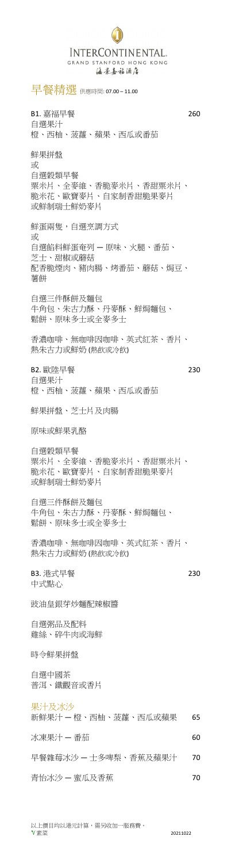## INTERCONTINENTAL. GRAND STANFORD HONG KONG 海景嘉福酒店

早餐精選 供應時間: 07.00 – 11.00

B1. 嘉福早餐 260 自選果汁 橙、西柚、菠蘿、蘋果、西瓜或番茄

鮮蛋兩隻,自選烹調方式 或 自選餡料鮮蛋奄列 — 原味、火腿、番茄、 芝士、甜椒或蘑菇 配香脆煙肉、豬肉腸、烤番茄、蘑菇、焗豆、 薯餅

鮮果拼盤 或 自選穀類早餐 粟米片、全麥維、香脆麥米片、香甜粟米片、 脆米花、歐寶麥片、自家制香甜脆果麥片 或鮮制瑞士鮮奶麥片

自選三件酥餅及麵包 牛角包、朱古力酥、丹麥酥、鮮焗麵包、 鬆餅、原味多士或全麥多士

B3. 港式早餐 230 中式點心

香濃咖啡、無咖啡因咖啡、英式紅茶、香片、 熱朱古力或鮮奶 (熱飲或冷飲)

B2. 歐陸早餐 230 自選果汁 橙、西柚、菠蘿、蘋果、西瓜或番茄

鮮果拼盤、芝士片及肉腸

原味或鮮果乳酪

自選穀類早餐 粟米片、全麥維、香脆麥米片、香甜粟米片、 脆米花、歐寶麥片、自家制香甜脆果麥片 或鮮制瑞士鮮奶麥片

自選三件酥餅及麵包 牛角包、朱古力酥、丹麥酥、鮮焗麵包、 鬆餅、原味多士或全麥多士

香濃咖啡、無咖啡因咖啡、英式紅茶、香片、 熱朱古力或鮮奶 (熱飲或冷飲)

豉油皇銀芽炒麵配辣椒醬

自選粥品及配料 雞絲、碎牛肉或海鮮

#### 時令鮮果拼盤

自選中國茶

#### 普洱、鐵觀音或香片

果汁及冰沙

新鮮果汁 – 橙、西柚、菠蘿、西瓜或蘋果 65

冰凍果汁 — 番茄 60

早餐雜莓冰沙 一士多啤梨、香蕉及蘋果汁 70

青怡冰沙 — 蜜瓜及香蕉 70

以上價目均以港元計算,需另收加一服務費。 素菜 20211022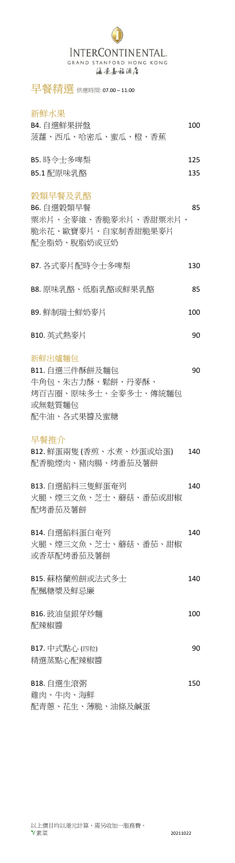## INTERCONTINENTAL. GRAND STANFORD HONG KONG 海景嘉福酒店

早餐精選 供應時間: 07.00-11.00

## 新鮮水果

| B4. 自選鮮果拼盤        | 100 |
|-------------------|-----|
| 菠蘿、西瓜、哈密瓜、蜜瓜、橙、香蕉 |     |
| B5.時令士多啤梨         | 125 |
| B5.1 配原味乳酪        | 135 |

## 穀類早餐及乳酪

B6. 自選穀類早餐 85 粟米片、全麥維、香脆麥米片、香甜粟米片、 脆米花、歐寶麥片、自家制香甜脆果麥片 配全脂奶、脫脂奶或豆奶

B7. 各式麥片配時令士多啤梨 130

B8. 原味乳酪、低脂乳酪或鮮果乳酪 85

B9. 鮮制瑞士鮮奶麥片 **100** 

B10. 英式熱麥片 **190** 

## 新鮮出爐麵包

B11. 自選三件酥餅及麵包 90 牛角包、朱古力酥、鬆餅、丹麥酥、 烤百吉圈、原味多士、全麥多士、傳統麵包 或無麩質麵包 配牛油、各式果醬及蜜糖

B12. 鮮蛋兩隻 (香煎、水煮、炒蛋或烚蛋) 140 配香脆煙肉、豬肉腸、烤番茄及薯餅

B13. 自選餡料三隻鮮蛋奄列 140 火腿、煙三文魚、芝士、蘑菇、番茄或甜椒 配烤番茄及薯餅

B15. 蘇格蘭煎餅或法式多士 140 配楓糖漿及鮮忌廉

B16. 豉油皇銀芽炒麵 100 配辣椒醬

B17. 中式點心 (四粒) 20

## 早餐推介

B14. 自選餡料蛋白奄列 140 火腿、煙三文魚、芝士、蘑菇、番茄、甜椒 或香草配烤番茄及薯餅

## 精選蒸點心配辣椒醬

#### B18. 自選牛滾粥 150

雞肉、牛肉、海鮮

配青蔥、花生、薄脆、油條及鹹蛋

以上價目均以港元計算,需另收加一服務費。  $\sqrt{\frac{1}{3}}\frac{1}{\sqrt{3}}$  20211022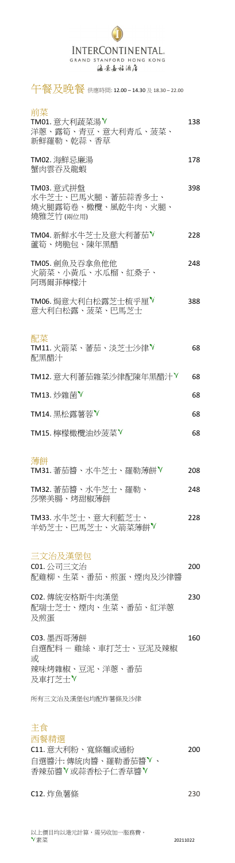## INTERCONTINENTAL. GRAND STANFORD HONG KONG 海景嘉福酒店

午餐及晚餐 供應時間: 12.00 – 14.30 <sup>及</sup> 18.30 – 22.00

|        | Ξ                  |
|--------|--------------------|
|        | ٠<br>۰,            |
|        |                    |
| ٠<br>I | I<br>×<br>. .<br>٣ |

| TM01. 意大利蔬菜湯 <sup>▼</sup><br>洋蔥、露筍、青豆、意大利青瓜、菠菜、<br>新鮮羅勒、乾蒜、香草       | 138 |
|---------------------------------------------------------------------|-----|
| TM02. 海鮮忌廉湯<br>蟹肉雲吞及龍蝦                                              | 178 |
| TM03. 意式拼盤<br>水牛芝士、巴馬火腿、蕃茄蒜香多士、<br>燒火腿露筍卷、橄欖、風乾牛肉、火腿、<br>燒雅芝竹 (兩位用) | 398 |
| TM04. 新鮮水牛芝士及意大利蕃茄 V<br>蘆筍、烤脆包、陳年黑醋                                 | 228 |
| TM05. 劍魚及吞拿魚他他<br>火箭菜、小黄瓜、水瓜榴、紅桑子、<br>阿瑪爾菲檸檬汁                       | 248 |
| TM06. 焗意大利白松露芝士梳乎厘 <sup>▼</sup><br>意大利白松露、菠菜、巴馬芝士                   | 388 |
| 配菜<br>TM11. 火箭菜、蕃茄、淡芝士沙律 <sup>▼</sup><br>配黑醋汁                       | 68  |
| TM12. 意大利蕃茄雜菜沙律配陳年黑醋汁 <sup>▼</sup>                                  | 68  |
| TM13. 炒雜菌 <sup>V</sup>                                              | 68  |
| TM14. 黑松露薯蓉 <sup>▼</sup>                                            | 68  |
| TM15. 檸檬橄欖油炒菠菜 V                                                    | 68  |
| 薄餅<br>TM31. 蕃茄醬、水牛芝士、羅勒薄餅 <sup>▼</sup>                              | 208 |
| TM32. 蕃茄醬、水牛芝士、羅勒、<br>莎樂美腸、烤甜椒薄餅                                    | 248 |
| TM33. 水牛芝士、意大利藍芝士、<br>羊奶芝士、巴馬芝士、火箭菜薄餅V                              | 228 |
| 三文治及漢堡包<br><b>C01. 公司三文治</b><br>配雞柳、生菜、番茄、煎蛋、煙肉及沙律醬                 | 200 |

C03. 墨西哥薄餅 160 自選配料 - 雞絲、車打芝士、豆泥及辣椒

辣味烤雜椒、豆泥、洋蔥、番茄 及車打芝士▼

C11. 意大利粉、寬條麵或通粉 200 自選醬汁: 傳統肉醬、羅勒番茄醬 、 香辣茄醬 √或蒜香松子仁香草醬 √

C02. 傳統安格斯牛肉漢堡 230 配瑞士芝士、煙肉、生菜、番茄、紅洋蔥 及煎蛋

或

所有三文治及漢堡包均配炸薯條及沙律

## 主食

#### 西餐精選

### C12. 炸魚薯條 230

以上價目均以港元計算,需另收加一服務費。  $\sqrt[8]{\n\overline{\mathbf{x}}}\ddot{\mathbf{x}}$  20211022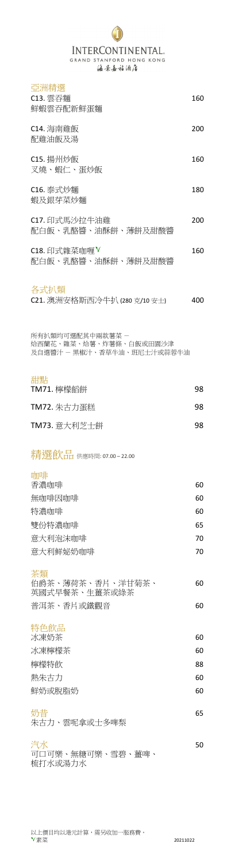素菜 20211022

## INTERCONTINENTAL. GRAND STANFORD HONG KONG 海景嘉福酒店

### 亞洲精選

特色飲品 冰凍奶茶 60

| 冰凍檸檬茶  | 60 |
|--------|----|
| 檸檬特飲   | 88 |
| 熱朱古力   | 60 |
| 鮮奶或脫脂奶 | 60 |
|        |    |

| C13. 雲吞麵<br>鮮蝦雲吞配新鮮蛋麵                                                    | 160 |
|--------------------------------------------------------------------------|-----|
| C14. 海南雞飯<br>配雞油飯及湯                                                      | 200 |
| C15. 揚州炒飯<br>叉燒、蝦仁、蛋炒飯                                                   | 160 |
| C16. 泰式炒麵<br>蝦及銀芽菜炒麵                                                     | 180 |
| C17. 印式馬沙拉牛油雞<br>配白飯、乳酪醬、油酥餅、薄餅及甜酸醬                                      | 200 |
| C18. 印式雜菜咖喱 <sup>▼</sup><br>配白飯、乳酪醬、油酥餅、薄餅及甜酸醬                           | 160 |
| 各式扒類<br>C21. 澳洲安格斯西冷牛扒 (280 克/10 安士)                                     | 400 |
| 所有扒類均可選配其中兩款薯菜 -<br>烚西蘭花、雜菜、烚薯、炸薯條、白飯或田園沙津<br>及自選醬汁 - 黑椒汁、香草牛油、班尼士汁或蒜蓉牛油 |     |
| 甜點<br>TM71. 檸檬饀餅                                                         | 98  |
| TM72. 朱古力蛋糕                                                              | 98  |
| TM73. 意大利芝士餅                                                             | 98  |
| 米青涅 食欠日 供應時間: 07.00 – 22.00                                              |     |
| 咖啡<br>香濃咖啡                                                               | 60  |
| 無咖啡因咖啡                                                                   | 60  |
| 特濃咖啡                                                                     | 60  |
| 雙份特濃咖啡                                                                   | 65  |
| 意大利泡沫咖啡                                                                  | 70  |
| 意大利鲜妼奶咖啡                                                                 | 70  |
| 茶類<br>伯爵茶、薄荷茶、香片、洋甘菊茶、<br>英國式早餐茶、生薑茶或綠茶                                  | 60  |
| 普洱茶、香片或鐵觀音                                                               | 60  |

### 汽水 50 可口可樂、無糖可樂、雪碧、薑啤、 梳打水或湯力水

以上價目均以港元計算,需另收加一服務費。<br>Ⅴ素菜

### 奶昔 65 朱古力、雲呢拿或士多啤梨